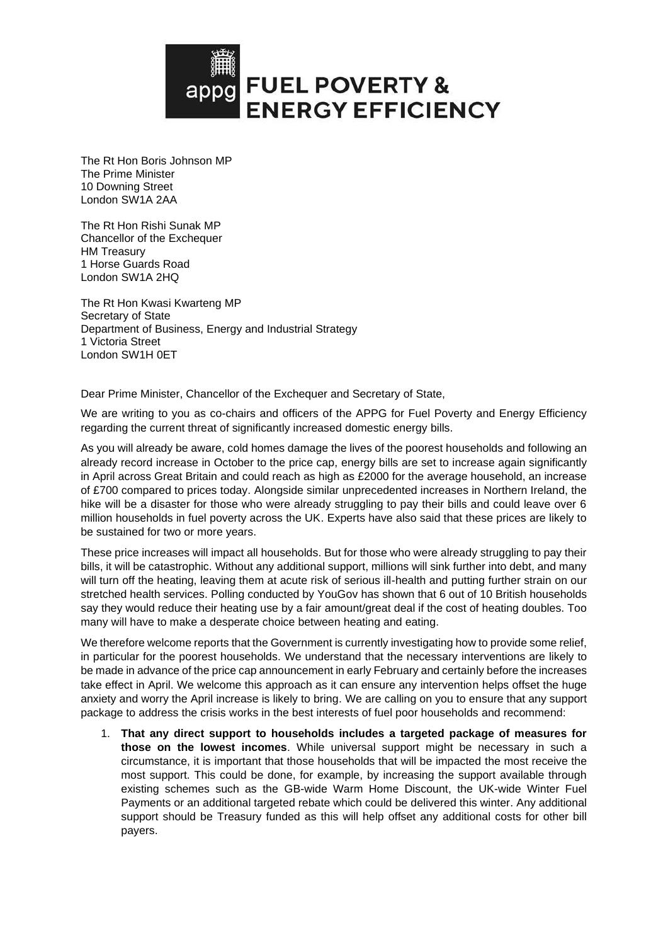

The Rt Hon Boris Johnson MP The Prime Minister 10 Downing Street London SW1A 2AA

The Rt Hon Rishi Sunak MP Chancellor of the Exchequer HM Treasury 1 Horse Guards Road London SW1A 2HQ

The Rt Hon Kwasi Kwarteng MP Secretary of State Department of Business, Energy and Industrial Strategy 1 Victoria Street London SW1H 0ET

Dear Prime Minister, Chancellor of the Exchequer and Secretary of State,

We are writing to you as co-chairs and officers of the APPG for Fuel Poverty and Energy Efficiency regarding the current threat of significantly increased domestic energy bills.

As you will already be aware, cold homes damage the lives of the poorest households and following an already record increase in October to the price cap, energy bills are set to increase again significantly in April across Great Britain and could reach as high as £2000 for the average household, an increase of £700 compared to prices today. Alongside similar unprecedented increases in Northern Ireland, the hike will be a disaster for those who were already struggling to pay their bills and could leave over 6 million households in fuel poverty across the UK. Experts have also said that these prices are likely to be sustained for two or more years.

These price increases will impact all households. But for those who were already struggling to pay their bills, it will be catastrophic. Without any additional support, millions will sink further into debt, and many will turn off the heating, leaving them at acute risk of serious ill-health and putting further strain on our stretched health services. Polling conducted by YouGov has shown that 6 out of 10 British households say they would reduce their heating use by a fair amount/great deal if the cost of heating doubles. Too many will have to make a desperate choice between heating and eating.

We therefore welcome reports that the Government is currently investigating how to provide some relief, in particular for the poorest households. We understand that the necessary interventions are likely to be made in advance of the price cap announcement in early February and certainly before the increases take effect in April. We welcome this approach as it can ensure any intervention helps offset the huge anxiety and worry the April increase is likely to bring. We are calling on you to ensure that any support package to address the crisis works in the best interests of fuel poor households and recommend:

1. **That any direct support to households includes a targeted package of measures for those on the lowest incomes**. While universal support might be necessary in such a circumstance, it is important that those households that will be impacted the most receive the most support. This could be done, for example, by increasing the support available through existing schemes such as the GB-wide Warm Home Discount, the UK-wide Winter Fuel Payments or an additional targeted rebate which could be delivered this winter. Any additional support should be Treasury funded as this will help offset any additional costs for other bill payers.